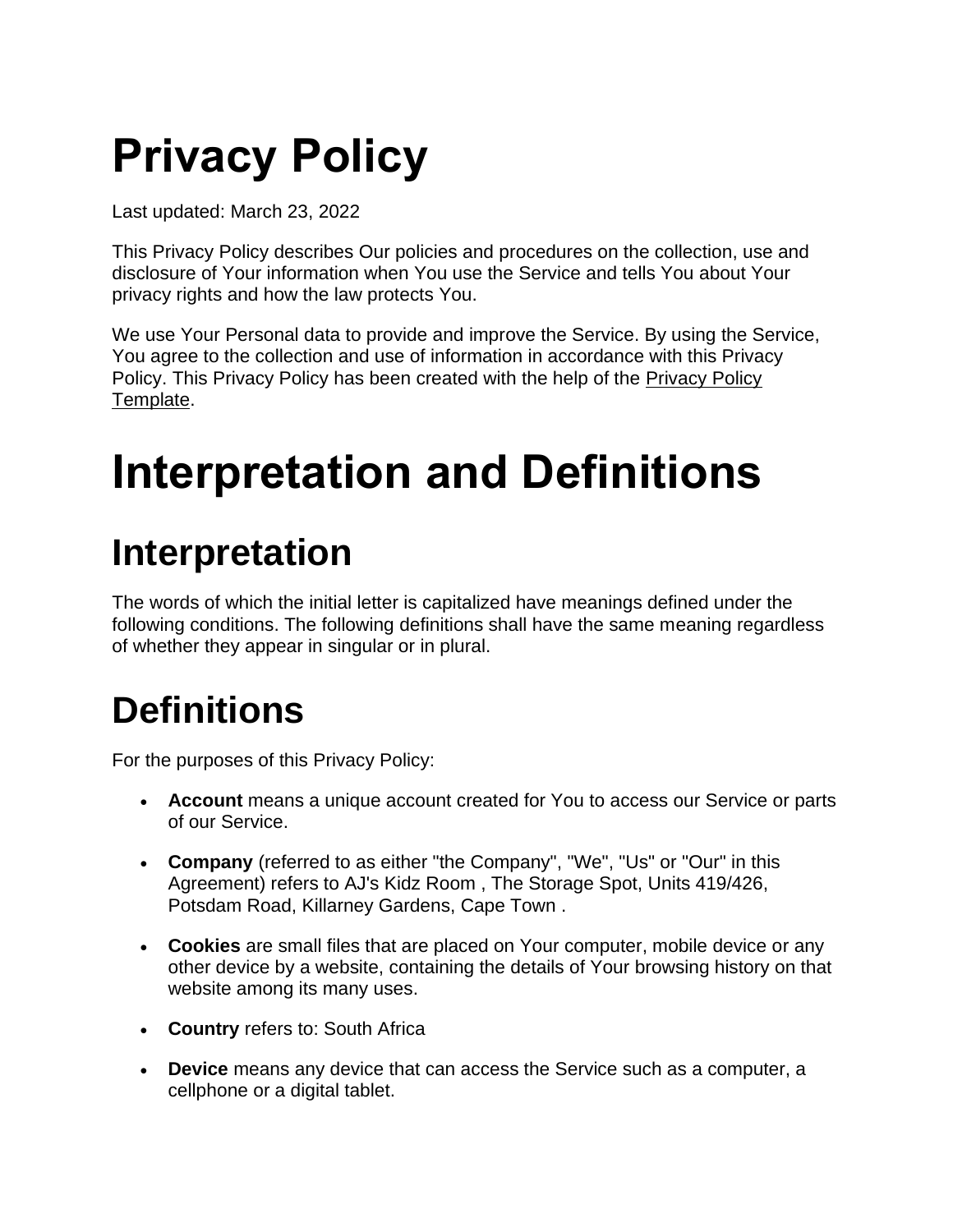# **Privacy Policy**

Last updated: March 23, 2022

This Privacy Policy describes Our policies and procedures on the collection, use and disclosure of Your information when You use the Service and tells You about Your privacy rights and how the law protects You.

We use Your Personal data to provide and improve the Service. By using the Service, You agree to the collection and use of information in accordance with this Privacy Policy. This Privacy Policy has been created with the help of the [Privacy Policy](https://www.freeprivacypolicy.com/blog/sample-privacy-policy-template/)  [Template.](https://www.freeprivacypolicy.com/blog/sample-privacy-policy-template/)

# **Interpretation and Definitions**

## **Interpretation**

The words of which the initial letter is capitalized have meanings defined under the following conditions. The following definitions shall have the same meaning regardless of whether they appear in singular or in plural.

## **Definitions**

For the purposes of this Privacy Policy:

- **Account** means a unique account created for You to access our Service or parts of our Service.
- **Company** (referred to as either "the Company", "We", "Us" or "Our" in this Agreement) refers to AJ's Kidz Room , The Storage Spot, Units 419/426, Potsdam Road, Killarney Gardens, Cape Town .
- **Cookies** are small files that are placed on Your computer, mobile device or any other device by a website, containing the details of Your browsing history on that website among its many uses.
- **Country** refers to: South Africa
- **Device** means any device that can access the Service such as a computer, a cellphone or a digital tablet.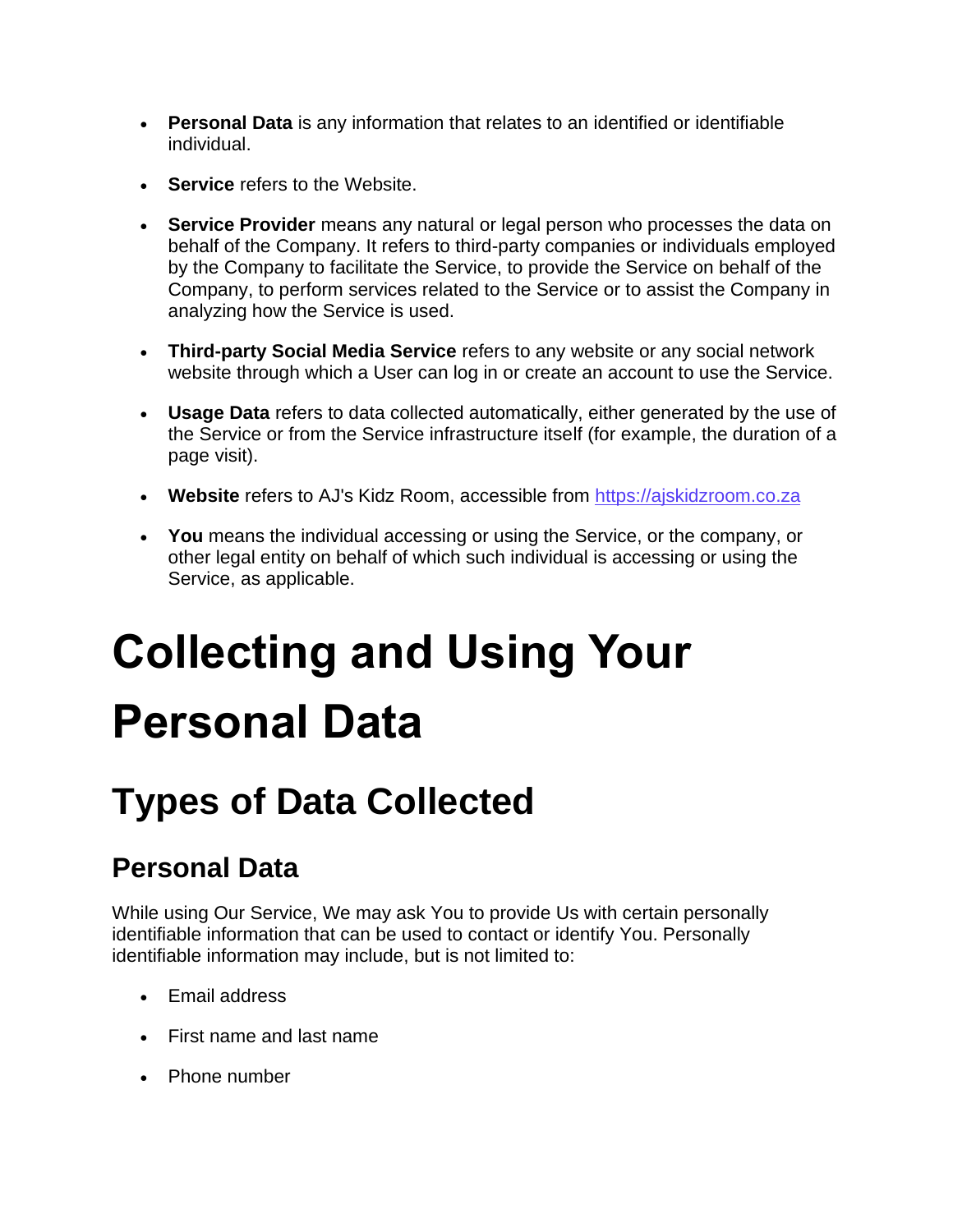- **Personal Data** is any information that relates to an identified or identifiable individual.
- **Service** refers to the Website.
- **Service Provider** means any natural or legal person who processes the data on behalf of the Company. It refers to third-party companies or individuals employed by the Company to facilitate the Service, to provide the Service on behalf of the Company, to perform services related to the Service or to assist the Company in analyzing how the Service is used.
- **Third-party Social Media Service** refers to any website or any social network website through which a User can log in or create an account to use the Service.
- **Usage Data** refers to data collected automatically, either generated by the use of the Service or from the Service infrastructure itself (for example, the duration of a page visit).
- **Website** refers to AJ's Kidz Room, accessible from [https://ajskidzroom.co.za](https://ajskidzroom.co.za/)
- **You** means the individual accessing or using the Service, or the company, or other legal entity on behalf of which such individual is accessing or using the Service, as applicable.

# **Collecting and Using Your Personal Data**

## **Types of Data Collected**

### **Personal Data**

While using Our Service, We may ask You to provide Us with certain personally identifiable information that can be used to contact or identify You. Personally identifiable information may include, but is not limited to:

- Email address
- First name and last name
- Phone number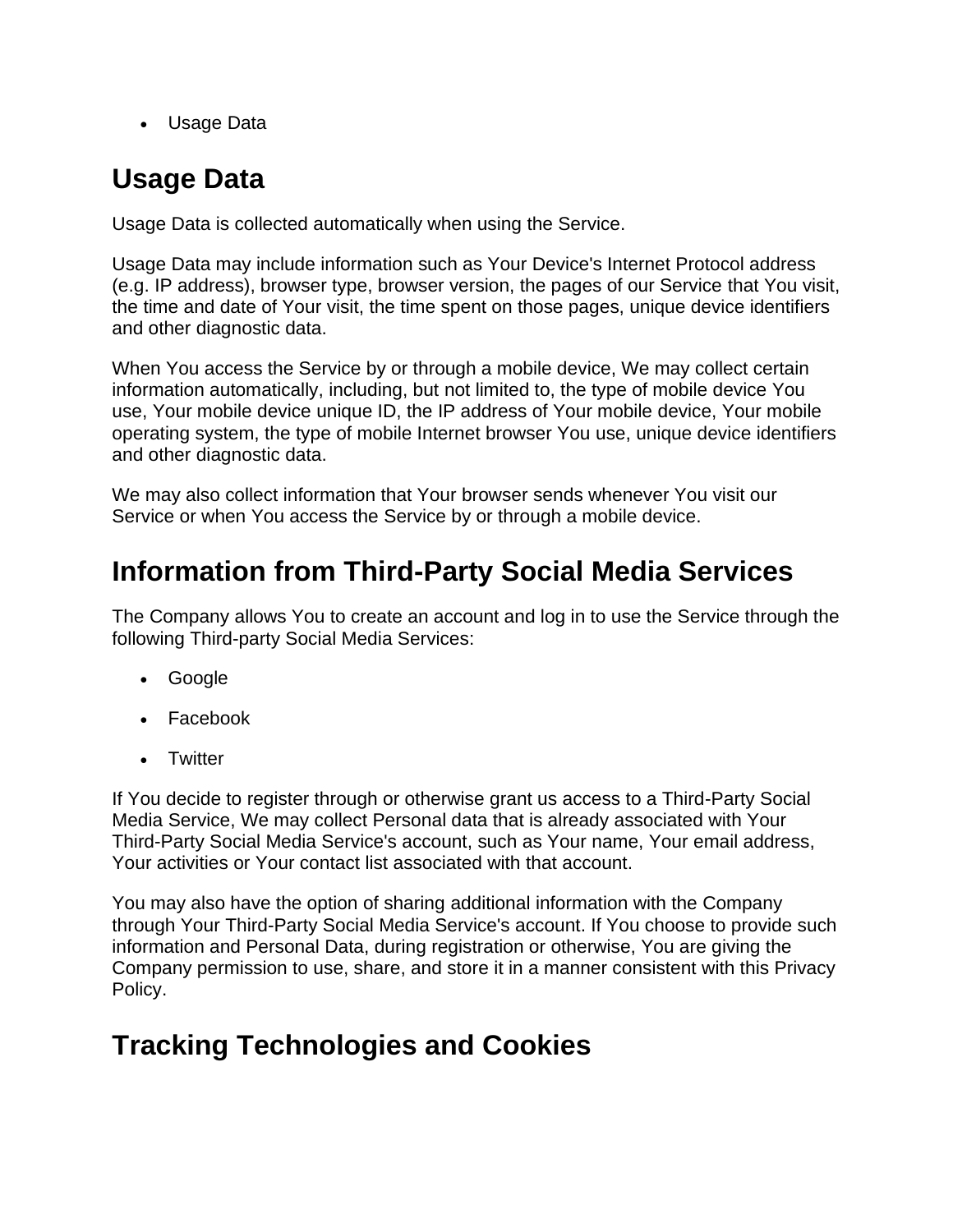• Usage Data

### **Usage Data**

Usage Data is collected automatically when using the Service.

Usage Data may include information such as Your Device's Internet Protocol address (e.g. IP address), browser type, browser version, the pages of our Service that You visit, the time and date of Your visit, the time spent on those pages, unique device identifiers and other diagnostic data.

When You access the Service by or through a mobile device, We may collect certain information automatically, including, but not limited to, the type of mobile device You use, Your mobile device unique ID, the IP address of Your mobile device, Your mobile operating system, the type of mobile Internet browser You use, unique device identifiers and other diagnostic data.

We may also collect information that Your browser sends whenever You visit our Service or when You access the Service by or through a mobile device.

#### **Information from Third-Party Social Media Services**

The Company allows You to create an account and log in to use the Service through the following Third-party Social Media Services:

- Google
- Facebook
- **Twitter**

If You decide to register through or otherwise grant us access to a Third-Party Social Media Service, We may collect Personal data that is already associated with Your Third-Party Social Media Service's account, such as Your name, Your email address, Your activities or Your contact list associated with that account.

You may also have the option of sharing additional information with the Company through Your Third-Party Social Media Service's account. If You choose to provide such information and Personal Data, during registration or otherwise, You are giving the Company permission to use, share, and store it in a manner consistent with this Privacy Policy.

### **Tracking Technologies and Cookies**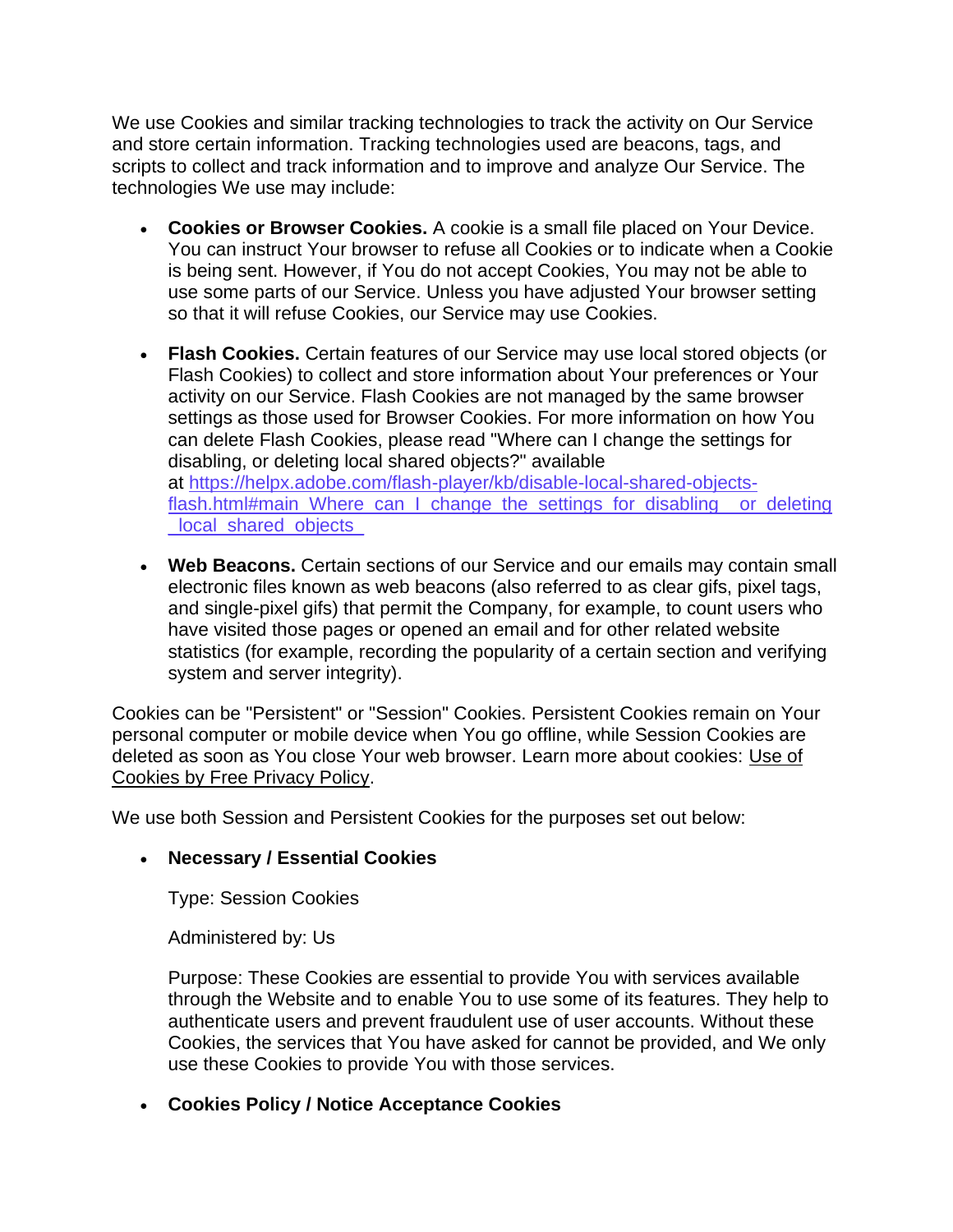We use Cookies and similar tracking technologies to track the activity on Our Service and store certain information. Tracking technologies used are beacons, tags, and scripts to collect and track information and to improve and analyze Our Service. The technologies We use may include:

- **Cookies or Browser Cookies.** A cookie is a small file placed on Your Device. You can instruct Your browser to refuse all Cookies or to indicate when a Cookie is being sent. However, if You do not accept Cookies, You may not be able to use some parts of our Service. Unless you have adjusted Your browser setting so that it will refuse Cookies, our Service may use Cookies.
- **Flash Cookies.** Certain features of our Service may use local stored objects (or Flash Cookies) to collect and store information about Your preferences or Your activity on our Service. Flash Cookies are not managed by the same browser settings as those used for Browser Cookies. For more information on how You can delete Flash Cookies, please read "Where can I change the settings for disabling, or deleting local shared objects?" available at [https://helpx.adobe.com/flash-player/kb/disable-local-shared-objects](https://helpx.adobe.com/flash-player/kb/disable-local-shared-objects-flash.html#main_Where_can_I_change_the_settings_for_disabling__or_deleting_local_shared_objects_)[flash.html#main\\_Where\\_can\\_I\\_change\\_the\\_settings\\_for\\_disabling\\_\\_or\\_deleting](https://helpx.adobe.com/flash-player/kb/disable-local-shared-objects-flash.html#main_Where_can_I_change_the_settings_for_disabling__or_deleting_local_shared_objects_) local shared objects
- **Web Beacons.** Certain sections of our Service and our emails may contain small electronic files known as web beacons (also referred to as clear gifs, pixel tags, and single-pixel gifs) that permit the Company, for example, to count users who have visited those pages or opened an email and for other related website statistics (for example, recording the popularity of a certain section and verifying system and server integrity).

Cookies can be "Persistent" or "Session" Cookies. Persistent Cookies remain on Your personal computer or mobile device when You go offline, while Session Cookies are deleted as soon as You close Your web browser. Learn more about cookies: [Use of](https://www.freeprivacypolicy.com/blog/sample-privacy-policy-template/#Use_Of_Cookies_And_Tracking)  [Cookies by Free Privacy Policy.](https://www.freeprivacypolicy.com/blog/sample-privacy-policy-template/#Use_Of_Cookies_And_Tracking)

We use both Session and Persistent Cookies for the purposes set out below:

#### • **Necessary / Essential Cookies**

Type: Session Cookies

Administered by: Us

Purpose: These Cookies are essential to provide You with services available through the Website and to enable You to use some of its features. They help to authenticate users and prevent fraudulent use of user accounts. Without these Cookies, the services that You have asked for cannot be provided, and We only use these Cookies to provide You with those services.

#### • **Cookies Policy / Notice Acceptance Cookies**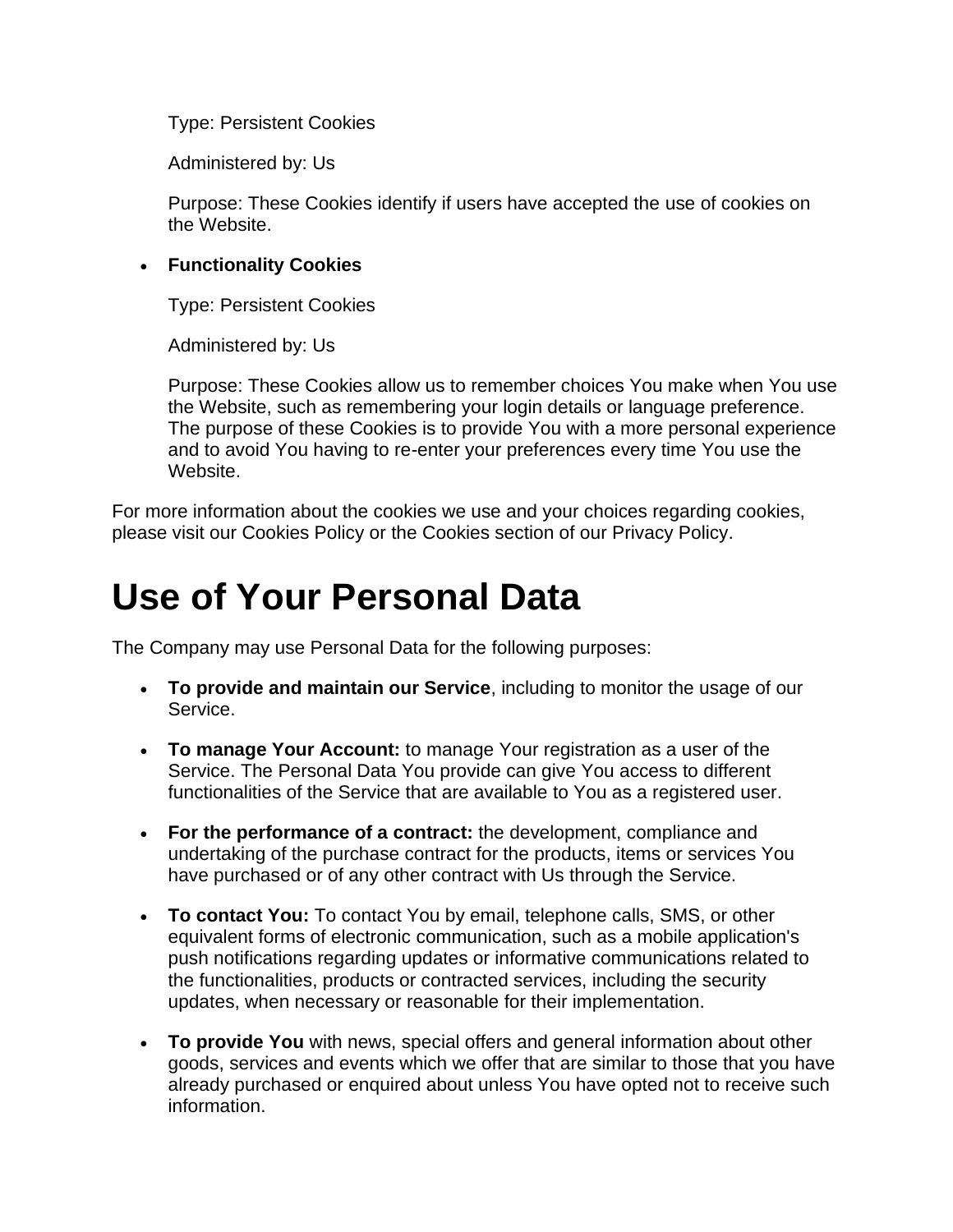Type: Persistent Cookies

Administered by: Us

Purpose: These Cookies identify if users have accepted the use of cookies on the Website.

#### • **Functionality Cookies**

Type: Persistent Cookies

Administered by: Us

Purpose: These Cookies allow us to remember choices You make when You use the Website, such as remembering your login details or language preference. The purpose of these Cookies is to provide You with a more personal experience and to avoid You having to re-enter your preferences every time You use the Website.

For more information about the cookies we use and your choices regarding cookies, please visit our Cookies Policy or the Cookies section of our Privacy Policy.

### **Use of Your Personal Data**

The Company may use Personal Data for the following purposes:

- **To provide and maintain our Service**, including to monitor the usage of our Service.
- **To manage Your Account:** to manage Your registration as a user of the Service. The Personal Data You provide can give You access to different functionalities of the Service that are available to You as a registered user.
- **For the performance of a contract:** the development, compliance and undertaking of the purchase contract for the products, items or services You have purchased or of any other contract with Us through the Service.
- **To contact You:** To contact You by email, telephone calls, SMS, or other equivalent forms of electronic communication, such as a mobile application's push notifications regarding updates or informative communications related to the functionalities, products or contracted services, including the security updates, when necessary or reasonable for their implementation.
- **To provide You** with news, special offers and general information about other goods, services and events which we offer that are similar to those that you have already purchased or enquired about unless You have opted not to receive such information.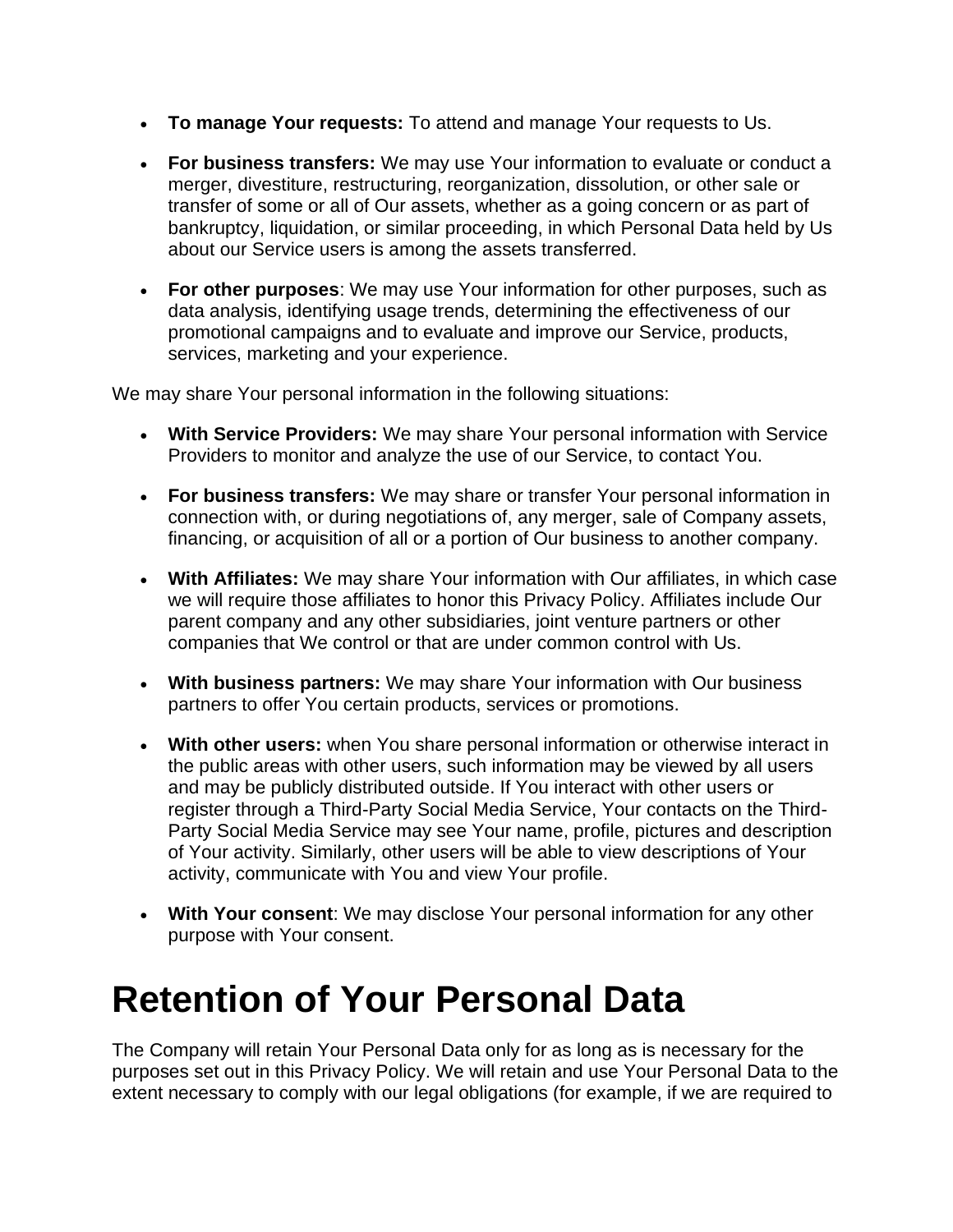- **To manage Your requests:** To attend and manage Your requests to Us.
- **For business transfers:** We may use Your information to evaluate or conduct a merger, divestiture, restructuring, reorganization, dissolution, or other sale or transfer of some or all of Our assets, whether as a going concern or as part of bankruptcy, liquidation, or similar proceeding, in which Personal Data held by Us about our Service users is among the assets transferred.
- **For other purposes**: We may use Your information for other purposes, such as data analysis, identifying usage trends, determining the effectiveness of our promotional campaigns and to evaluate and improve our Service, products, services, marketing and your experience.

We may share Your personal information in the following situations:

- **With Service Providers:** We may share Your personal information with Service Providers to monitor and analyze the use of our Service, to contact You.
- **For business transfers:** We may share or transfer Your personal information in connection with, or during negotiations of, any merger, sale of Company assets, financing, or acquisition of all or a portion of Our business to another company.
- **With Affiliates:** We may share Your information with Our affiliates, in which case we will require those affiliates to honor this Privacy Policy. Affiliates include Our parent company and any other subsidiaries, joint venture partners or other companies that We control or that are under common control with Us.
- **With business partners:** We may share Your information with Our business partners to offer You certain products, services or promotions.
- **With other users:** when You share personal information or otherwise interact in the public areas with other users, such information may be viewed by all users and may be publicly distributed outside. If You interact with other users or register through a Third-Party Social Media Service, Your contacts on the Third-Party Social Media Service may see Your name, profile, pictures and description of Your activity. Similarly, other users will be able to view descriptions of Your activity, communicate with You and view Your profile.
- **With Your consent**: We may disclose Your personal information for any other purpose with Your consent.

## **Retention of Your Personal Data**

The Company will retain Your Personal Data only for as long as is necessary for the purposes set out in this Privacy Policy. We will retain and use Your Personal Data to the extent necessary to comply with our legal obligations (for example, if we are required to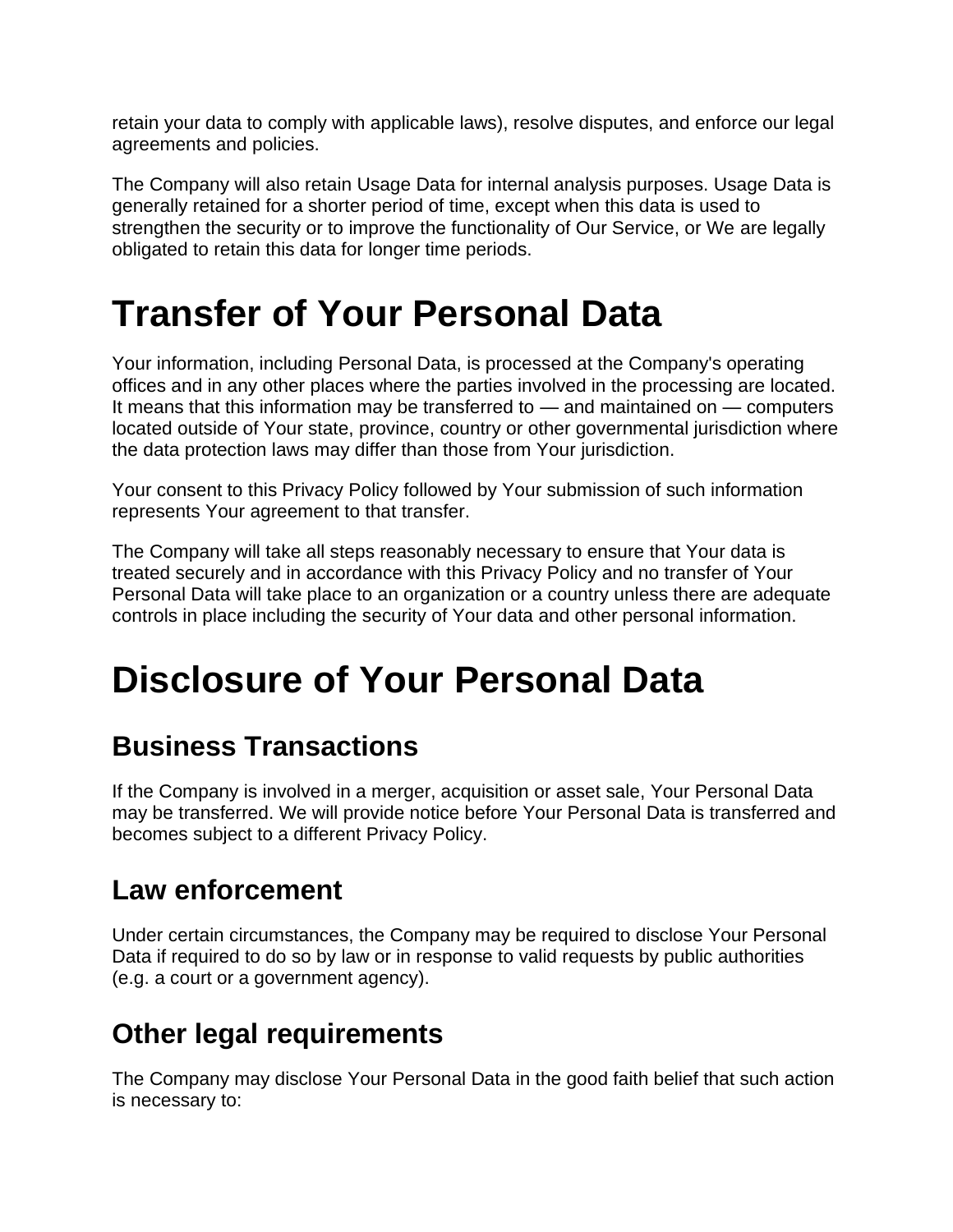retain your data to comply with applicable laws), resolve disputes, and enforce our legal agreements and policies.

The Company will also retain Usage Data for internal analysis purposes. Usage Data is generally retained for a shorter period of time, except when this data is used to strengthen the security or to improve the functionality of Our Service, or We are legally obligated to retain this data for longer time periods.

## **Transfer of Your Personal Data**

Your information, including Personal Data, is processed at the Company's operating offices and in any other places where the parties involved in the processing are located. It means that this information may be transferred to — and maintained on — computers located outside of Your state, province, country or other governmental jurisdiction where the data protection laws may differ than those from Your jurisdiction.

Your consent to this Privacy Policy followed by Your submission of such information represents Your agreement to that transfer.

The Company will take all steps reasonably necessary to ensure that Your data is treated securely and in accordance with this Privacy Policy and no transfer of Your Personal Data will take place to an organization or a country unless there are adequate controls in place including the security of Your data and other personal information.

## **Disclosure of Your Personal Data**

#### **Business Transactions**

If the Company is involved in a merger, acquisition or asset sale, Your Personal Data may be transferred. We will provide notice before Your Personal Data is transferred and becomes subject to a different Privacy Policy.

#### **Law enforcement**

Under certain circumstances, the Company may be required to disclose Your Personal Data if required to do so by law or in response to valid requests by public authorities (e.g. a court or a government agency).

### **Other legal requirements**

The Company may disclose Your Personal Data in the good faith belief that such action is necessary to: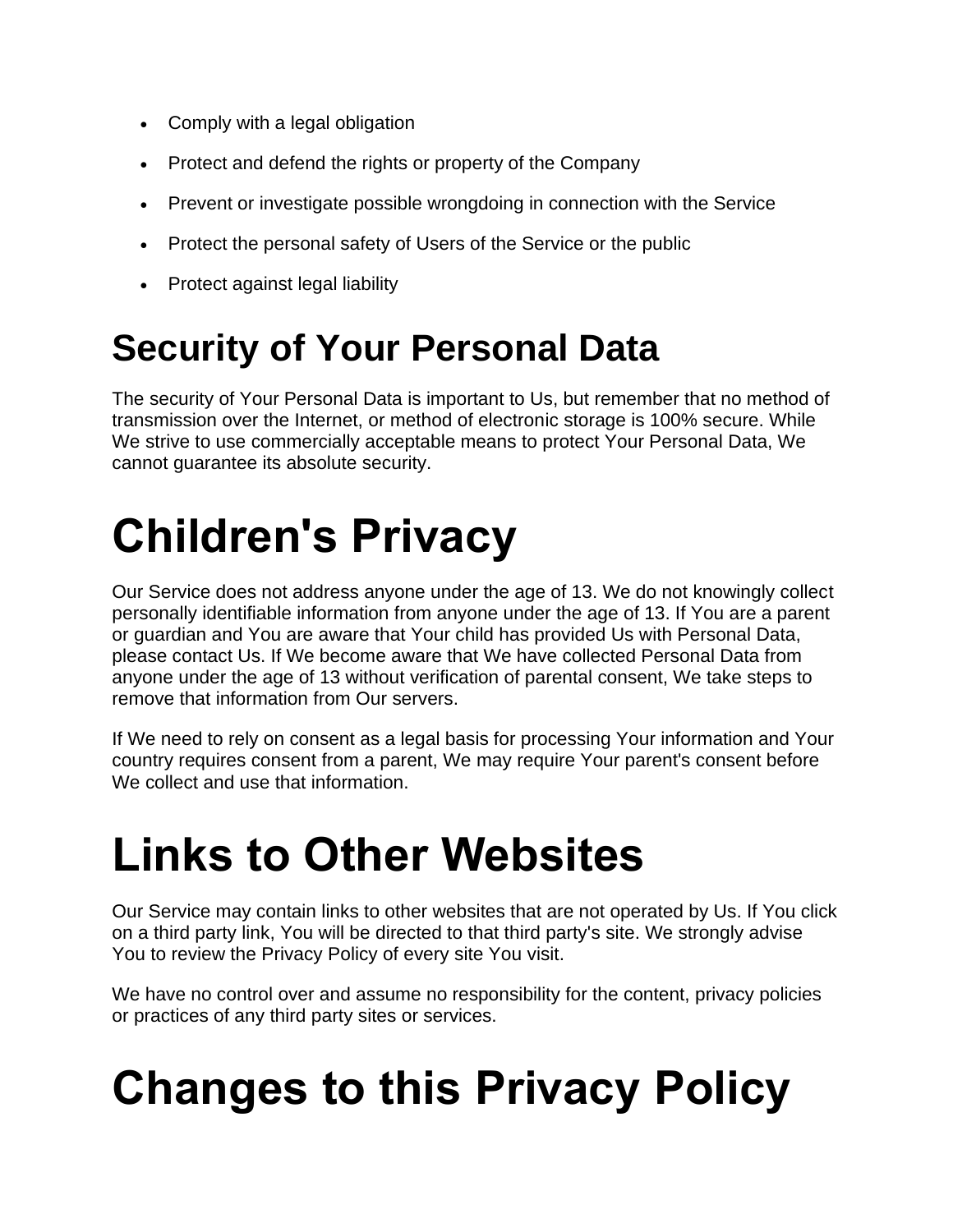- Comply with a legal obligation
- Protect and defend the rights or property of the Company
- Prevent or investigate possible wrongdoing in connection with the Service
- Protect the personal safety of Users of the Service or the public
- Protect against legal liability

## **Security of Your Personal Data**

The security of Your Personal Data is important to Us, but remember that no method of transmission over the Internet, or method of electronic storage is 100% secure. While We strive to use commercially acceptable means to protect Your Personal Data, We cannot guarantee its absolute security.

# **Children's Privacy**

Our Service does not address anyone under the age of 13. We do not knowingly collect personally identifiable information from anyone under the age of 13. If You are a parent or guardian and You are aware that Your child has provided Us with Personal Data, please contact Us. If We become aware that We have collected Personal Data from anyone under the age of 13 without verification of parental consent, We take steps to remove that information from Our servers.

If We need to rely on consent as a legal basis for processing Your information and Your country requires consent from a parent, We may require Your parent's consent before We collect and use that information.

# **Links to Other Websites**

Our Service may contain links to other websites that are not operated by Us. If You click on a third party link, You will be directed to that third party's site. We strongly advise You to review the Privacy Policy of every site You visit.

We have no control over and assume no responsibility for the content, privacy policies or practices of any third party sites or services.

# **Changes to this Privacy Policy**